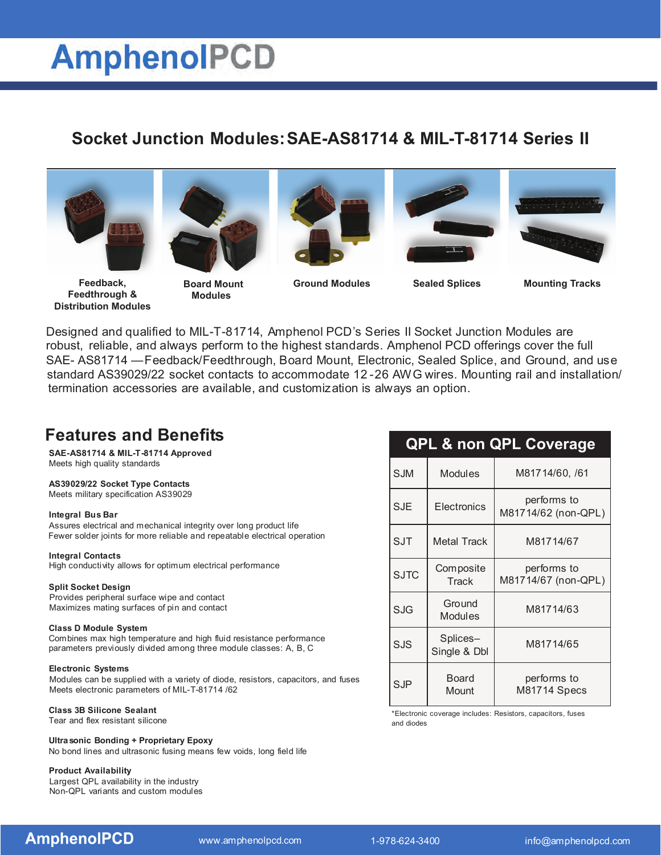# **AmphenolPCD**

# **Socket Junction Modules: SAE-AS81714 & MIL-T-81714 Series II**





**Feedback, Feedthrough & Distribution Modules**

**Board Mount Ground Modules Sealed Splices Mounting Tracks Modules**







Designed and qualified to MIL-T-81714, Amphenol PCD's Series II Socket Junction Modules are robust, reliable, and always perform to the highest standards. Amphenol PCD offerings cover the full SAE- AS81714 —Feedback/Feedthrough, Board Mount, Electronic, Sealed Splice, and Ground, and use standard AS39029/22 socket contacts to accommodate 12 -26 AWG wires. Mounting rail and installation/ termination accessories are available, and customization is always an option.

# **Features and Benefits**

**SAE-AS81714 & MIL-T-81714 Approved** Meets high quality standards

## **AS39029/22 Socket Type Contacts**

Meets military specification AS39029

## **Integral Bus Bar**

Assures electrical and mechanical integrity over long product life Fewer solder joints for more reliable and repeatable electrical operation

#### **Integral Contacts**

High conductivity allows for optimum electrical performance

#### **Split Socket Design**

Provides peripheral surface wipe and contact Maximizes mating surfaces of pin and contact

#### **Class D Module System**

Combines max high temperature and high fluid resistance performance parameters previously divided among three module classes: A, B, C

## **Electronic Systems**

Modules can be supplied with a variety of diode, resistors, capacitors, and fuses Meets electronic parameters of MIL-T-81714 /62

## **Class 3B Silicone Sealant**

Tear and flex resistant silicone

**Ultrasonic Bonding + Proprietary Epoxy** No bond lines and ultrasonic fusing means few voids, long field life

## **Product Availability**

Largest QPL availability in the industry Non-QPL variants and custom modules

| <b>QPL &amp; non QPL Coverage</b> |                          |                                    |
|-----------------------------------|--------------------------|------------------------------------|
| <b>SJM</b>                        | <b>Modules</b>           | M81714/60, /61                     |
| <b>SJE</b>                        | Electronics              | performs to<br>M81714/62 (non-QPL) |
| <b>SJT</b>                        | <b>Metal Track</b>       | M81714/67                          |
| <b>SJTC</b>                       | Composite<br>Track       | performs to<br>M81714/67 (non-QPL) |
| <b>SJG</b>                        | Ground<br>Modules        | M81714/63                          |
| SJS                               | Splices-<br>Single & Dbl | M81714/65                          |
| $S$ .JP                           | Board<br>Mount           | performs to<br>M81714 Specs        |

\*Electronic coverage includes: Resistors, capacitors, fuses and diodes

**AmphenoIPCD**